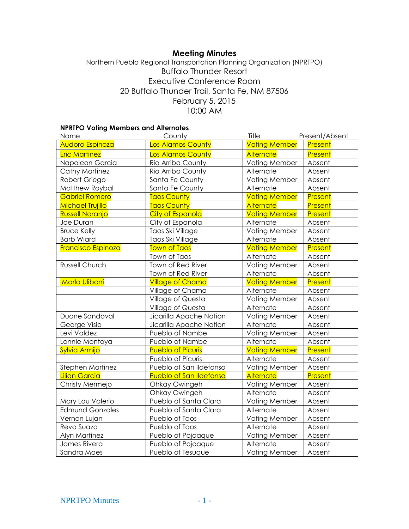# **Meeting Minutes**

# Northern Pueblo Regional Transportation Planning Organization (NPRTPO) Buffalo Thunder Resort Executive Conference Room 20 Buffalo Thunder Trail, Santa Fe, NM 87506 February 5, 2015 10:00 AM

## **NPRTPO Voting Members and Alternates**:

| Name                      | County                   | Title                | Present/Absent |
|---------------------------|--------------------------|----------------------|----------------|
| Audoro Espinoza           | <b>Los Alamos County</b> | <b>Voting Member</b> | Present        |
| <b>Eric Martinez</b>      | <b>Los Alamos County</b> | <b>Alternate</b>     | Present        |
| Napoleon Garcia           | Rio Arriba County        | Voting Member        | Absent         |
| Cathy Martinez            | Rio Arriba County        | Alternate            | Absent         |
| Robert Griego             | Santa Fe County          | Voting Member        | Absent         |
| Matthew Roybal            | Santa Fe County          | Alternate            | Absent         |
| <b>Gabriel Romero</b>     | <b>Taos County</b>       | <b>Voting Member</b> | Present        |
| Michael Trujillo          | <b>Taos County</b>       | <b>Alternate</b>     | Present        |
| <b>Russell Naranjo</b>    | <b>City of Espanola</b>  | <b>Voting Member</b> | Present        |
| Joe Duran                 | City of Espanola         | Alternate            | Absent         |
| <b>Bruce Kelly</b>        | Taos Ski Village         | Voting Member        | Absent         |
| <b>Barb Wiard</b>         | Taos Ski Village         | Alternate            | Absent         |
| <b>Francisco Espinoza</b> | <b>Town of Taos</b>      | <b>Voting Member</b> | <b>Present</b> |
|                           | Town of Taos             | Alternate            | Absent         |
| Russell Church            | Town of Red River        | Voting Member        | Absent         |
|                           | Town of Red River        | Alternate            | Absent         |
| Marla Ulibarri            | <b>Village of Chama</b>  | <b>Voting Member</b> | Present        |
|                           | Village of Chama         | Alternate            | Absent         |
|                           | Village of Questa        | Voting Member        | Absent         |
|                           | Village of Questa        | Alternate            | Absent         |
| Duane Sandoval            | Jicarilla Apache Nation  | Voting Member        | Absent         |
| George Visio              | Jicarilla Apache Nation  | Alternate            | Absent         |
| Levi Valdez               | Pueblo of Nambe          | Voting Member        | Absent         |
| Lonnie Montoya            | Pueblo of Nambe          | Alternate            | Absent         |
| Sylvia Armijo             | <b>Pueblo of Picuris</b> | <b>Voting Member</b> | <b>Present</b> |
|                           | Pueblo of Picuris        | Alternate            | Absent         |
| Stephen Martinez          | Pueblo of San Ildefonso  | Voting Member        | Absent         |
| <b>Lilian Garcia</b>      | Pueblo of San Ildefonso  | <b>Alternate</b>     | Present        |
| Christy Mermejo           | Ohkay Owingeh            | Voting Member        | Absent         |
|                           | Ohkay Owingeh            | Alternate            | Absent         |
| Mary Lou Valerio          | Pueblo of Santa Clara    | Voting Member        | Absent         |
| <b>Edmund Gonzales</b>    | Pueblo of Santa Clara    | Alternate            | Absent         |
| Vernon Lujan              | Pueblo of Taos           | Voting Member        | Absent         |
| Reva Suazo                | Pueblo of Taos           | Alternate            | Absent         |
| Alyn Martinez             | Pueblo of Pojoaque       | Voting Member        | Absent         |
| James Rivera              | Pueblo of Pojoaque       | Alternate            | Absent         |
| Sandra Maes               | Pueblo of Tesuque        | Voting Member        | Absent         |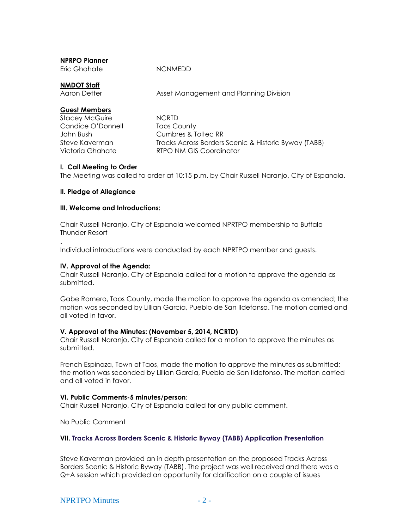Eric Ghahate **NCNMEDD** 

**NMDOT Staff**

Asset Management and Planning Division

# **Guest Members**

Stacey McGuire **NCRTD** Candice O'Donnell Taos County

John Bush Cumbres & Toltec RR Steve Kaverman Tracks Across Borders Scenic & Historic Byway (TABB) Victoria Ghahate RTPO NM GIS Coordinator

## **I. Call Meeting to Order**

The Meeting was called to order at 10:15 p.m. by Chair Russell Naranjo, City of Espanola.

# **II. Pledge of Allegiance**

.

## **III. Welcome and Introductions:**

Chair Russell Naranjo, City of Espanola welcomed NPRTPO membership to Buffalo Thunder Resort

Individual introductions were conducted by each NPRTPO member and guests.

## **IV. Approval of the Agenda:**

Chair Russell Naranjo, City of Espanola called for a motion to approve the agenda as submitted.

Gabe Romero, Taos County, made the motion to approve the agenda as amended; the motion was seconded by Lillian Garcia, Pueblo de San Ildefonso. The motion carried and all voted in favor.

## **V. Approval of the Minutes: (November 5, 2014, NCRTD)**

Chair Russell Naranjo, City of Espanola called for a motion to approve the minutes as submitted.

French Espinoza, Town of Taos, made the motion to approve the minutes as submitted; the motion was seconded by Lillian Garcia, Pueblo de San Ildefonso. The motion carried and all voted in favor.

## **VI. Public Comments-5 minutes/person**:

Chair Russell Naranjo, City of Espanola called for any public comment.

No Public Comment

## **VII. Tracks Across Borders Scenic & Historic Byway (TABB) Application Presentation**

Steve Kaverman provided an in depth presentation on the proposed Tracks Across Borders Scenic & Historic Byway (TABB). The project was well received and there was a Q+A session which provided an opportunity for clarification on a couple of issues